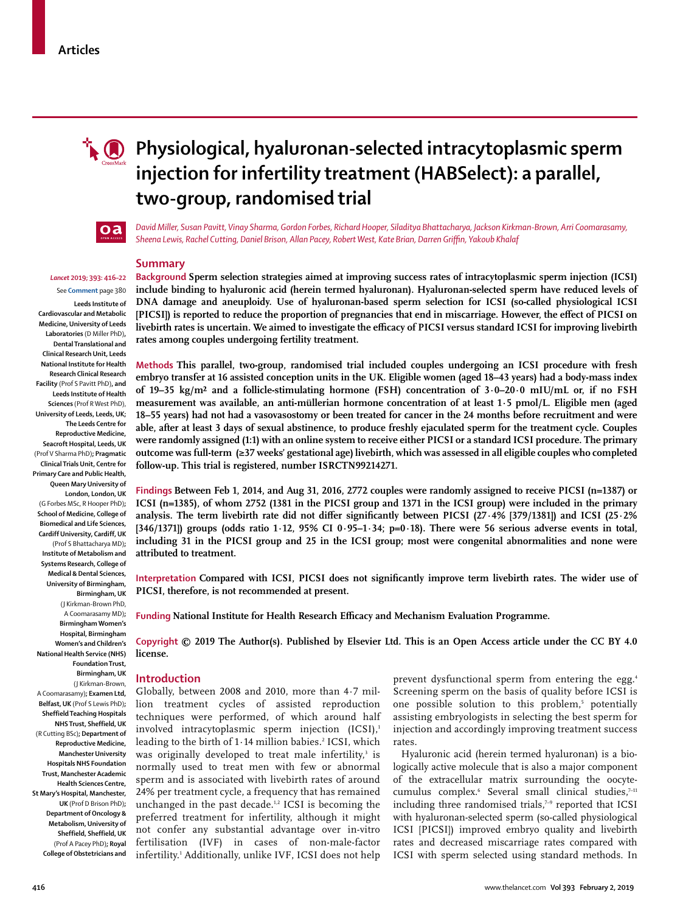

# **Physiological, hyaluronan-selected intracytoplasmic sperm injection for infertility treatment (HABSelect): a parallel, two-group, randomised trial**



*David Miller, Susan Pavitt, Vinay Sharma, Gordon Forbes, Richard Hooper, Siladitya Bhattacharya, Jackson Kirkman-Brown, Arri Coomarasamy, Sheena Lewis, Rachel Cutting, Daniel Brison, Allan Pacey, Robert West, Kate Brian, Darren Griffin, Yakoub Khalaf*

## **Summary**

## *Lancet* **2019; 393: 416–22**

See **Comment** page 380 **Leeds Institute of Cardiovascular and Metabolic Medicine, University of Leeds Laboratories** (D Miller PhD)**, Dental Translational and Clinical Research Unit, Leeds National Institute for Health Research Clinical Research Facility** (Prof S Pavitt PhD)**, and Leeds Institute of Health Sciences** (Prof R West PhD), **University of Leeds, Leeds, UK; The Leeds Centre for Reproductive Medicine, Seacroft Hospital, Leeds, UK**  (Prof V Sharma PhD)**; Pragmatic Clinical Trials Unit, Centre for Primary Care and Public Health, Queen Mary University of London, London, UK**  (G Forbes MSc, R Hooper PhD)**; School of Medicine, College of Biomedical and Life Sciences, Cardiff University, Cardiff, UK** (Prof S Bhattacharya MD)**; Institute of Metabolism and Systems Research, College of Medical & Dental Sciences, University of Birmingham, Birmingham, UK**  (J Kirkman-Brown PhD, A Coomarasamy MD)**; Birmingham Women's Hospital, Birmingham Women's and Children's National Health Service (NHS) Foundation Trust, Birmingham, UK**  (J Kirkman-Brown, A Coomarasamy)**; Examen Ltd, Belfast, UK** (Prof S Lewis PhD)**; Sheffield Teaching Hospitals NHS Trust, Sheffield, UK**  (R Cutting BSc)**; Department of Reproductive Medicine, Manchester University Hospitals NHS Foundation Trust, Manchester Academic Health Sciences Centre, St Mary's Hospital, Manchester,** 

**UK** (Prof D Brison PhD)**; Department of Oncology & Metabolism, University of Sheffield, Sheffield, UK**  (Prof A Pacey PhD)**; Royal College of Obstetricians and** 

**Background Sperm selection strategies aimed at improving success rates of intracytoplasmic sperm injection (ICSI) include binding to hyaluronic acid (herein termed hyaluronan). Hyaluronan-selected sperm have reduced levels of DNA damage and aneuploidy. Use of hyaluronan-based sperm selection for ICSI (so-called physiological ICSI [PICSI]) is reported to reduce the proportion of pregnancies that end in miscarriage. However, the effect of PICSI on livebirth rates is uncertain. We aimed to investigate the efficacy of PICSI versus standard ICSI for improving livebirth** 

**rates among couples undergoing fertility treatment.**

**Methods This parallel, two-group, randomised trial included couples undergoing an ICSI procedure with fresh embryo transfer at 16 assisted conception units in the UK. Eligible women (aged 18–43 years) had a body-mass index of 19–35 kg/m² and a follicle-stimulating hormone (FSH) concentration of 3·0–20·0 mIU/mL or, if no FSH measurement was available, an anti-müllerian hormone concentration of at least 1·5 pmol/L. Eligible men (aged 18–55 years) had not had a vasovasostomy or been treated for cancer in the 24 months before recruitment and were able, after at least 3 days of sexual abstinence, to produce freshly ejaculated sperm for the treatment cycle. Couples were randomly assigned (1:1) with an online system to receive either PICSI or a standard ICSI procedure. The primary outcome was full-term (≥37 weeks' gestational age) livebirth, which was assessed in all eligible couples who completed follow-up. This trial is registered, number ISRCTN99214271.**

**Findings Between Feb 1, 2014, and Aug 31, 2016, 2772 couples were randomly assigned to receive PICSI (n=1387) or ICSI (n=1385), of whom 2752 (1381 in the PICSI group and 1371 in the ICSI group) were included in the primary analysis. The term livebirth rate did not differ significantly between PICSI (27·4% [379/1381]) and ICSI (25·2% [346/1371]) groups (odds ratio 1·12, 95% CI 0·95–1·34; p=0·18). There were 56 serious adverse events in total, including 31 in the PICSI group and 25 in the ICSI group; most were congenital abnormalities and none were attributed to treatment.**

**Interpretation Compared with ICSI, PICSI does not significantly improve term livebirth rates. The wider use of PICSI, therefore, is not recommended at present.**

**Funding National Institute for Health Research Efficacy and Mechanism Evaluation Programme.**

**Copyright © 2019 The Author(s). Published by Elsevier Ltd. This is an Open Access article under the CC BY 4.0 license.**

#### **Introduction**

Globally, between 2008 and 2010, more than 4·7 million treatment cycles of assisted reproduction techniques were performed, of which around half involved intracytoplasmic sperm injection  $(ICSI)^1$ leading to the birth of  $1 \cdot 14$  million babies.<sup>2</sup> ICSI, which was originally developed to treat male infertility,<sup>3</sup> is normally used to treat men with few or abnormal sperm and is associated with livebirth rates of around 24% per treatment cycle, a frequency that has remained unchanged in the past decade.<sup>1,2</sup> ICSI is becoming the preferred treatment for infertility, although it might not confer any substantial advantage over in-vitro fertilisation (IVF) in cases of non-male-factor infertility. 1 Additionally, unlike IVF, ICSI does not help prevent dysfunctional sperm from entering the egg.<sup>4</sup> Screening sperm on the basis of quality before ICSI is one possible solution to this problem,<sup>5</sup> potentially assisting embryologists in selecting the best sperm for injection and accordingly improving treatment success rates.

Hyaluronic acid (herein termed hyaluronan) is a biologically active molecule that is also a major component of the extracellular matrix surrounding the oocytecumulus complex.<sup>6</sup> Several small clinical studies,<sup>7-11</sup> including three randomised trials,<sup>7-9</sup> reported that ICSI with hyaluronan-selected sperm (so-called physiological ICSI [PICSI]) improved embryo quality and livebirth rates and decreased miscarriage rates compared with ICSI with sperm selected using standard methods. In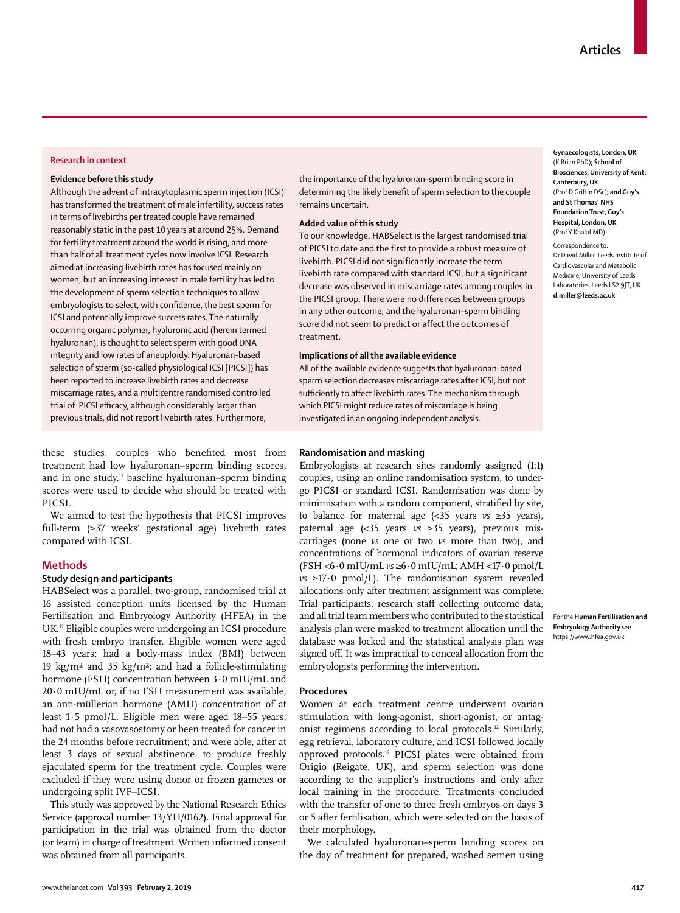## **Research in context**

#### **Evidence before this study**

Although the advent of intracytoplasmic sperm injection (ICSI) has transformed the treatment of male infertility, success rates in terms of livebirths per treated couple have remained reasonably static in the past 10 years at around 25%. Demand for fertility treatment around the world is rising, and more than half of all treatment cycles now involve ICSI. Research aimed at increasing livebirth rates has focused mainly on women, but an increasing interest in male fertility has led to the development of sperm selection techniques to allow embryologists to select, with confidence, the best sperm for ICSI and potentially improve success rates. The naturally occurring organic polymer, hyaluronic acid (herein termed hyaluronan), is thought to select sperm with good DNA integrity and low rates of aneuploidy. Hyaluronan-based selection of sperm (so-called physiological ICSI [PICSI]) has been reported to increase livebirth rates and decrease miscarriage rates, and a multicentre randomised controlled trial of PICSI efficacy, although considerably larger than previous trials, did not report livebirth rates. Furthermore,

these studies, couples who benefited most from treatment had low hyaluronan–sperm binding scores, and in one study, $n_{\text{u}}$  baseline hyaluronan–sperm binding scores were used to decide who should be treated with PICSI.

We aimed to test the hypothesis that PICSI improves full-term  $(\geq 37$  weeks' gestational age) livebirth rates compared with ICSI.

## **Methods**

## **Study design and participants**

HABSelect was a parallel, two-group, randomised trial at 16 assisted conception units licensed by the Human Fertilisation and Embryology Authority [\(HFEA\)](https://www.hfea.gov.uk) in the UK.12 Eligible couples were undergoing an ICSI procedure with fresh embryo transfer. Eligible women were aged 18–43 years; had a body-mass index (BMI) between 19 kg/m<sup>2</sup> and 35 kg/m<sup>2</sup>; and had a follicle-stimulating hormone (FSH) concentration between 3·0 mIU/mL and 20·0 mIU/mL or, if no FSH measurement was available, an anti-müllerian hormone (AMH) concentration of at least 1·5 pmol/L. Eligible men were aged 18–55 years; had not had a vasovasostomy or been treated for cancer in the 24 months before recruitment; and were able, after at least 3 days of sexual abstinence, to produce freshly ejaculated sperm for the treatment cycle. Couples were excluded if they were using donor or frozen gametes or undergoing split IVF–ICSI.

This study was approved by the National Research Ethics Service (approval number 13/YH/0162). Final approval for participation in the trial was obtained from the doctor (or team) in charge of treatment. Written informed consent was obtained from all participants.

the importance of the hyaluronan–sperm binding score in determining the likely benefit of sperm selection to the couple remains uncertain.

## **Added value of this study**

To our knowledge, HABSelect is the largest randomised trial of PICSI to date and the first to provide a robust measure of livebirth. PICSI did not significantly increase the term livebirth rate compared with standard ICSI, but a significant decrease was observed in miscarriage rates among couples in the PICSI group. There were no differences between groups in any other outcome, and the hyaluronan–sperm binding score did not seem to predict or affect the outcomes of treatment.

#### **Implications of all the available evidence**

All of the available evidence suggests that hyaluronan-based sperm selection decreases miscarriage rates after ICSI, but not sufficiently to affect livebirth rates. The mechanism through which PICSI might reduce rates of miscarriage is being investigated in an ongoing independent analysis.

## **Randomisation and masking**

Embryologists at research sites randomly assigned (1:1) couples, using an online randomisation system, to undergo PICSI or standard ICSI. Randomisation was done by minimisation with a random component, stratified by site, to balance for maternal age (<35 years *vs* ≥35 years), paternal age (<35 years *vs* ≥35 years), previous miscarriages (none *vs* one or two *vs* more than two), and concentrations of hormonal indicators of ovarian reserve (FSH <6·0 mIU/mL *vs* ≥6·0 mIU/mL; AMH <17·0 pmol/L *vs* ≥17·0 pmol/L). The randomisation system revealed allocations only after treatment assignment was complete. Trial participants, research staff collecting outcome data, and all trial team members who contributed to the statistical analysis plan were masked to treatment allocation until the database was locked and the statistical analysis plan was signed off. It was impractical to conceal allocation from the embryologists performing the intervention.

#### **Procedures**

Women at each treatment centre underwent ovarian stimulation with long-agonist, short-agonist, or antagonist regimens according to local protocols.12 Similarly, egg retrieval, laboratory culture, and ICSI followed locally approved protocols.<sup>12</sup> PICSI plates were obtained from Origio (Reigate, UK), and sperm selection was done according to the supplier's instructions and only after local training in the procedure. Treatments concluded with the transfer of one to three fresh embryos on days 3 or 5 after fertilisation, which were selected on the basis of their morphology.

We calculated hyaluronan–sperm binding scores on the day of treatment for prepared, washed semen using **Gynaecologists, London, UK**  (K Brian PhD)**; School of Biosciences, University of Kent, Canterbury, UK** (Prof D Griffin DSc)**; and Guy's and St Thomas' NHS Foundation Trust, Guy's Hospital, London, UK**  (Prof Y Khalaf MD) Correspondence to:

Dr David Miller, Leeds Institute of Cardiovascular and Metabolic Medicine, University of Leeds Laboratories, Leeds LS2 9JT, UK **d.miller@leeds.ac.uk**

For the **Human Fertilisation and Embryology Authority** see <https://www.hfea.gov.uk>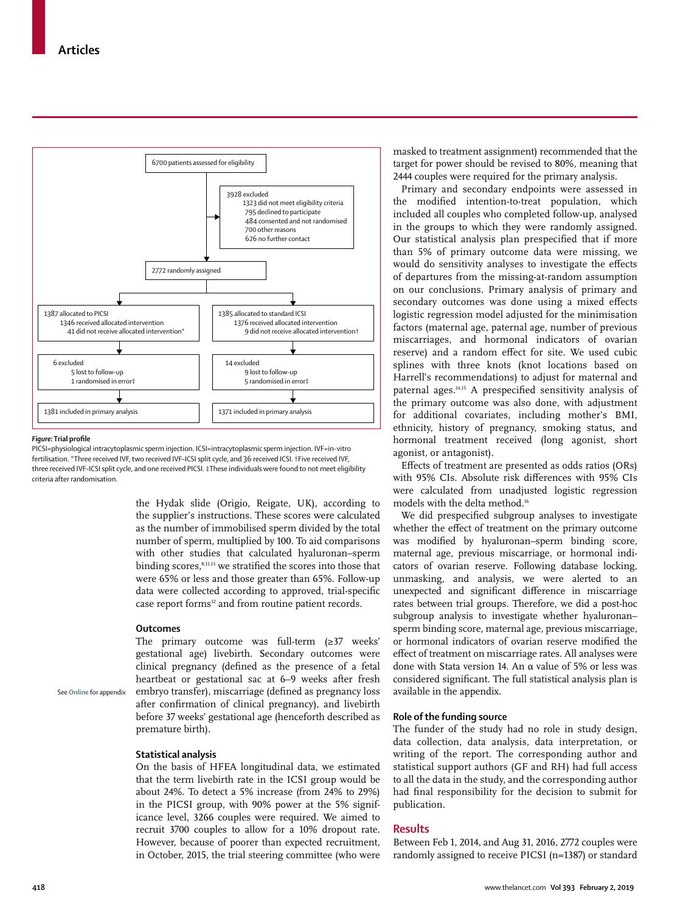

#### *Figure:* **Trial profile**

PICSI=physiological intracytoplasmic sperm injection. ICSI=intracytoplasmic sperm injection. IVF=in-vitro fertilisation. \*Three received IVF, two received IVF–ICSI split cycle, and 36 received ICSI. †Five received IVF, three received IVF–ICSI split cycle, and one received PICSI. ‡These individuals were found to not meet eligibility criteria after randomisation.

> the Hydak slide (Origio, Reigate, UK), according to the supplier's instructions. These scores were calculated as the number of immobilised sperm divided by the total number of sperm, multiplied by 100. To aid comparisons with other studies that calculated hyaluronan–sperm binding scores,<sup>8,11,13</sup> we stratified the scores into those that were 65% or less and those greater than 65%. Follow-up data were collected according to approved, trial-specific case report forms<sup>12</sup> and from routine patient records.

#### **Outcomes**

The primary outcome was full-term (≥37 weeks' gestational age) livebirth. Secondary outcomes were clinical pregnancy (defined as the presence of a fetal heartbeat or gestational sac at 6–9 weeks after fresh embryo transfer), miscarriage (defined as pregnancy loss after confirmation of clinical pregnancy), and livebirth before 37 weeks' gestational age (henceforth described as premature birth).

See **Online** for appendix

## **Statistical analysis**

On the basis of HFEA longitudinal data, we estimated that the term livebirth rate in the ICSI group would be about 24%. To detect a 5% increase (from 24% to 29%) in the PICSI group, with 90% power at the 5% significance level, 3266 couples were required. We aimed to recruit 3700 couples to allow for a 10% dropout rate. However, because of poorer than expected recruitment, in October, 2015, the trial steering committee (who were masked to treatment assignment) recommended that the target for power should be revised to 80%, meaning that 2444 couples were required for the primary analysis.

Primary and secondary endpoints were assessed in the modified intention-to-treat population, which included all couples who completed follow-up, analysed in the groups to which they were randomly assigned. Our statistical analysis plan prespecified that if more than 5% of primary outcome data were missing, we would do sensitivity analyses to investigate the effects of departures from the missing-at-random assumption on our conclusions. Primary analysis of primary and secondary outcomes was done using a mixed effects logistic regression model adjusted for the minimisation factors (maternal age, paternal age, number of previous miscarriages, and hormonal indicators of ovarian reserve) and a random effect for site. We used cubic splines with three knots (knot locations based on Harrell's recommendations) to adjust for maternal and paternal ages.14,15 A prespecified sensitivity analysis of the primary outcome was also done, with adjustment for additional covariates, including mother's BMI, ethnicity, history of pregnancy, smoking status, and hormonal treatment received (long agonist, short agonist, or antagonist).

Effects of treatment are presented as odds ratios (ORs) with 95% CIs. Absolute risk differences with 95% CIs were calculated from unadjusted logistic regression models with the delta method.16

We did prespecified subgroup analyses to investigate whether the effect of treatment on the primary outcome was modified by hyaluronan–sperm binding score, maternal age, previous miscarriage, or hormonal indicators of ovarian reserve. Following database locking, unmasking, and analysis, we were alerted to an unexpected and significant difference in miscarriage rates between trial groups. Therefore, we did a post-hoc subgroup analysis to investigate whether hyaluronan– sperm binding score, maternal age, previous miscarriage, or hormonal indicators of ovarian reserve modified the effect of treatment on miscarriage rates. All analyses were done with Stata version 14. An α value of 5% or less was considered significant. The full statistical analysis plan is available in the appendix.

### **Role of the funding source**

The funder of the study had no role in study design, data collection, data analysis, data interpretation, or writing of the report. The corresponding author and statistical support authors (GF and RH) had full access to all the data in the study, and the corresponding author had final responsibility for the decision to submit for publication.

## **Results**

Between Feb 1, 2014, and Aug 31, 2016, 2772 couples were randomly assigned to receive PICSI (n=1387) or standard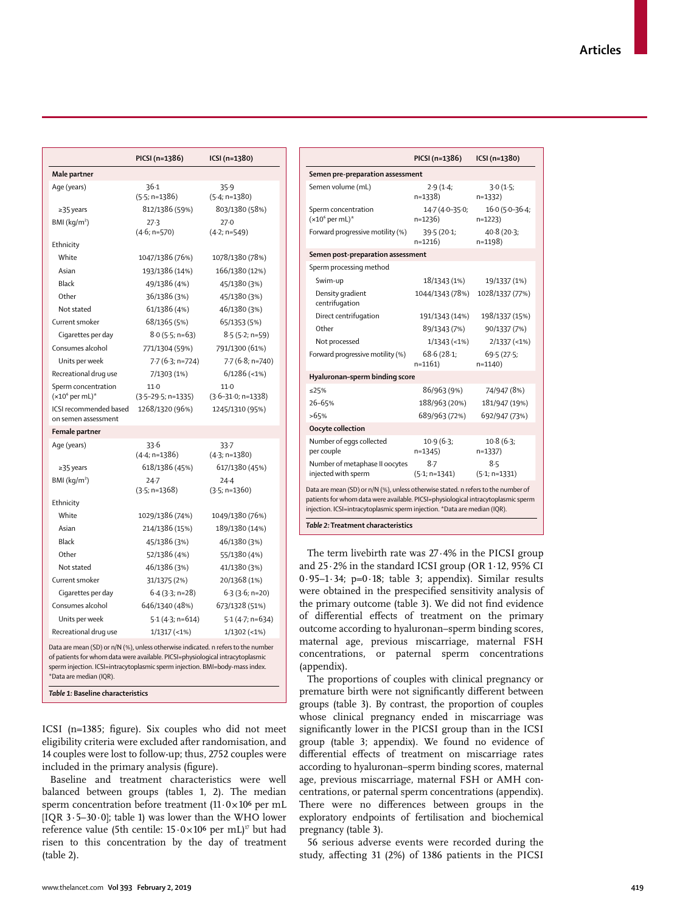|                                                                                                                                                                                                                                                                                | PICSI (n=1386)<br>ICSI (n=1380) |                          |  |  |  |
|--------------------------------------------------------------------------------------------------------------------------------------------------------------------------------------------------------------------------------------------------------------------------------|---------------------------------|--------------------------|--|--|--|
| Male partner                                                                                                                                                                                                                                                                   |                                 |                          |  |  |  |
| Age (years)                                                                                                                                                                                                                                                                    | 36.1                            | 35.9                     |  |  |  |
|                                                                                                                                                                                                                                                                                | $(5.5; n=1386)$                 | $(5.4; n=1380)$          |  |  |  |
| ≥35 years                                                                                                                                                                                                                                                                      | 812/1386 (59%)                  | 803/1380 (58%)           |  |  |  |
| BMI $(kq/m2)$                                                                                                                                                                                                                                                                  | 27.3<br>$(4.6; n=570)$          | 27.0<br>$(4.2; n=549)$   |  |  |  |
| Ethnicity                                                                                                                                                                                                                                                                      |                                 |                          |  |  |  |
| White                                                                                                                                                                                                                                                                          | 1047/1386 (76%)                 | 1078/1380 (78%)          |  |  |  |
| Asian                                                                                                                                                                                                                                                                          | 193/1386 (14%)                  | 166/1380 (12%)           |  |  |  |
| Black                                                                                                                                                                                                                                                                          | 49/1386 (4%)                    | 45/1380 (3%)             |  |  |  |
| Other                                                                                                                                                                                                                                                                          | 36/1386 (3%)                    | 45/1380 (3%)             |  |  |  |
| Not stated                                                                                                                                                                                                                                                                     | 61/1386 (4%)                    | 46/1380 (3%)             |  |  |  |
| Current smoker                                                                                                                                                                                                                                                                 | 68/1365 (5%)                    | 65/1353 (5%)             |  |  |  |
| Cigarettes per day                                                                                                                                                                                                                                                             | $8.0 (5.5; n=63)$               | $8.5(5.2; n=59)$         |  |  |  |
| Consumes alcohol                                                                                                                                                                                                                                                               | 771/1304 (59%)                  | 791/1300 (61%)           |  |  |  |
| Units per week                                                                                                                                                                                                                                                                 | $7.7(6.3; n=724)$               | $7.7(6.8; n=740)$        |  |  |  |
| Recreational drug use                                                                                                                                                                                                                                                          | 7/1303 (1%)                     | $6/1286$ (<1%)           |  |  |  |
| Sperm concentration                                                                                                                                                                                                                                                            | $11-0$                          | $11-0$                   |  |  |  |
| $(x106$ per mL) <sup>*</sup>                                                                                                                                                                                                                                                   | $(3.5 - 29.5; n = 1335)$        | $(3.6 - 31.0; n = 1338)$ |  |  |  |
| ICSI recommended based<br>on semen assessment                                                                                                                                                                                                                                  | 1268/1320 (96%)                 | 1245/1310 (95%)          |  |  |  |
| Female partner                                                                                                                                                                                                                                                                 |                                 |                          |  |  |  |
| Age (years)                                                                                                                                                                                                                                                                    | 33.6                            | $33 - 7$                 |  |  |  |
|                                                                                                                                                                                                                                                                                | $(4.4; n=1386)$                 | $(4.3; n=1380)$          |  |  |  |
| ≥35 years                                                                                                                                                                                                                                                                      | 618/1386 (45%)                  | 617/1380 (45%)           |  |  |  |
| $BMl$ (kg/m <sup>2</sup> )                                                                                                                                                                                                                                                     | $24 - 7$                        | $24-4$                   |  |  |  |
|                                                                                                                                                                                                                                                                                | $(3.5; n=1368)$                 | $(3.5; n=1360)$          |  |  |  |
| Ethnicity<br>White                                                                                                                                                                                                                                                             |                                 |                          |  |  |  |
|                                                                                                                                                                                                                                                                                | 1029/1386 (74%)                 | 1049/1380 (76%)          |  |  |  |
| Asian                                                                                                                                                                                                                                                                          | 214/1386 (15%)                  | 189/1380 (14%)           |  |  |  |
| Black                                                                                                                                                                                                                                                                          | 45/1386 (3%)                    | 46/1380 (3%)             |  |  |  |
| Other                                                                                                                                                                                                                                                                          | 52/1386 (4%)                    | 55/1380 (4%)             |  |  |  |
| Not stated                                                                                                                                                                                                                                                                     | 46/1386 (3%)                    | 41/1380 (3%)             |  |  |  |
| Current smoker                                                                                                                                                                                                                                                                 | 31/1375 (2%)                    | 20/1368 (1%)             |  |  |  |
| Cigarettes per day                                                                                                                                                                                                                                                             | $6.4$ (3 $3$ ; n=28)            | $6.3(3.6; n=20)$         |  |  |  |
| Consumes alcohol                                                                                                                                                                                                                                                               | 646/1340 (48%)                  | 673/1328 (51%)           |  |  |  |
| Units per week                                                                                                                                                                                                                                                                 | $5.1(4.3; n=614)$               | $5.1(4.7; n=634)$        |  |  |  |
| Recreational drug use                                                                                                                                                                                                                                                          | $1/1317$ (<1%)                  | $1/1302$ (<1%)           |  |  |  |
| Data are mean (SD) or n/N (%), unless otherwise indicated. n refers to the number<br>of patients for whom data were available. PICSI=physiological intracytoplasmic<br>sperm injection. ICSI=intracytoplasmic sperm injection. BMI=body-mass index.<br>*Data are median (IQR). |                                 |                          |  |  |  |

*Table 1:* **Baseline characteristics**

ICSI (n=1385; figure). Six couples who did not meet eligibility criteria were excluded after randomisation, and 14 couples were lost to follow-up; thus, 2752 couples were included in the primary analysis (figure).

Baseline and treatment characteristics were well balanced between groups (tables 1, 2). The median sperm concentration before treatment  $(11.0 \times 10^6$  per mL [IQR  $3.5-30.0$ ]; table 1) was lower than the WHO lower reference value (5th centile:  $15.0 \times 10^6$  per mL)<sup>17</sup> but had risen to this concentration by the day of treatment (table 2).

|                                                                                                                                                                                                                                                     | PICSI (n=1386)              | ICSI (n=1380)                |  |  |  |  |  |
|-----------------------------------------------------------------------------------------------------------------------------------------------------------------------------------------------------------------------------------------------------|-----------------------------|------------------------------|--|--|--|--|--|
| Semen pre-preparation assessment                                                                                                                                                                                                                    |                             |                              |  |  |  |  |  |
| Semen volume (mL)                                                                                                                                                                                                                                   | 2.9(1.4)<br>$n=1338$        | 3.0(1.5)<br>$n=1332$         |  |  |  |  |  |
| Sperm concentration<br>$(x106$ per mL) <sup>*</sup>                                                                                                                                                                                                 | 14.7 (4.0-35.0;<br>$n=1236$ | $16.0(5.0-36.4)$<br>$n=1223$ |  |  |  |  |  |
| Forward progressive motility (%)                                                                                                                                                                                                                    | 39.5(20.1)<br>$n=1216$      | 40.8 (20.3;<br>$n = 1198$    |  |  |  |  |  |
| Semen post-preparation assessment                                                                                                                                                                                                                   |                             |                              |  |  |  |  |  |
| Sperm processing method                                                                                                                                                                                                                             |                             |                              |  |  |  |  |  |
| Swim-up                                                                                                                                                                                                                                             | 18/1343 (1%)                | 19/1337 (1%)                 |  |  |  |  |  |
| Density gradient<br>centrifugation                                                                                                                                                                                                                  | 1044/1343 (78%)             | 1028/1337 (77%)              |  |  |  |  |  |
| Direct centrifugation                                                                                                                                                                                                                               | 191/1343 (14%)              | 198/1337 (15%)               |  |  |  |  |  |
| Other                                                                                                                                                                                                                                               | 89/1343 (7%)                | 90/1337 (7%)                 |  |  |  |  |  |
| Not processed                                                                                                                                                                                                                                       | $1/1343$ (<1%)              | $2/1337$ (<1%)               |  |  |  |  |  |
| Forward progressive motility (%)                                                                                                                                                                                                                    | 68.6 (28.1;<br>$n=1161$     | 69.5(27.5)<br>$n=1140$       |  |  |  |  |  |
| Hyaluronan-sperm binding score                                                                                                                                                                                                                      |                             |                              |  |  |  |  |  |
| ≤25%                                                                                                                                                                                                                                                | 86/963 (9%)                 | 74/947 (8%)                  |  |  |  |  |  |
| 26-65%                                                                                                                                                                                                                                              | 188/963 (20%)               | 181/947 (19%)                |  |  |  |  |  |
| >65%                                                                                                                                                                                                                                                | 689/963 (72%)               | 692/947 (73%)                |  |  |  |  |  |
| Oocyte collection                                                                                                                                                                                                                                   |                             |                              |  |  |  |  |  |
| Number of eggs collected<br>per couple                                                                                                                                                                                                              | 10.9(6.3;<br>$n=1345$       | 10.8(6.3)<br>$n=1337$        |  |  |  |  |  |
| Number of metaphase II oocytes<br>injected with sperm                                                                                                                                                                                               | 8.7<br>$(5.1; n=1341)$      | 8.5<br>$(5.1; n=1331)$       |  |  |  |  |  |
| Data are mean (SD) or n/N (%), unless otherwise stated. n refers to the number of<br>patients for whom data were available. PICSI=physiological intracytoplasmic sperm<br>injection. ICSI=intracytoplasmic sperm injection. *Data are median (IQR). |                             |                              |  |  |  |  |  |
| Table 2: Treatment characteristics                                                                                                                                                                                                                  |                             |                              |  |  |  |  |  |

The term livebirth rate was 27·4% in the PICSI group and  $25.2\%$  in the standard ICSI group (OR  $1.12$ , 95% CI  $0.95-1.34$ ; p= $0.18$ ; table 3; appendix). Similar results were obtained in the prespecified sensitivity analysis of the primary outcome (table 3). We did not find evidence of differential effects of treatment on the primary outcome according to hyaluronan–sperm binding scores, maternal age, previous miscarriage, maternal FSH concentrations, or paternal sperm concentrations (appendix).

The proportions of couples with clinical pregnancy or premature birth were not significantly different between groups (table 3). By contrast, the proportion of couples whose clinical pregnancy ended in miscarriage was significantly lower in the PICSI group than in the ICSI group (table 3; appendix). We found no evidence of differential effects of treatment on miscarriage rates according to hyaluronan–sperm binding scores, maternal age, previous miscarriage, maternal FSH or AMH concentrations, or paternal sperm concentrations (appendix). There were no differences between groups in the exploratory endpoints of fertilisation and biochemical pregnancy (table 3).

56 serious adverse events were recorded during the study, affecting 31 (2%) of 1386 patients in the PICSI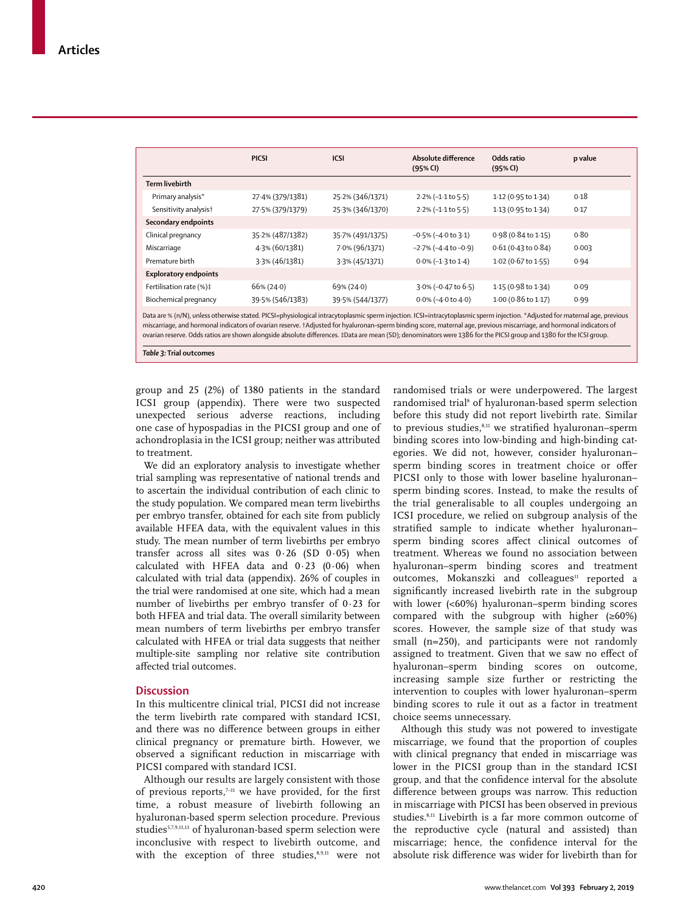|                                                                                                                                                                                                                                                                                                                                                       | <b>PICSI</b>     | <b>ICSI</b>      | Absolute difference<br>(95% CI) | Odds ratio<br>(95% CI)        | p value |  |  |
|-------------------------------------------------------------------------------------------------------------------------------------------------------------------------------------------------------------------------------------------------------------------------------------------------------------------------------------------------------|------------------|------------------|---------------------------------|-------------------------------|---------|--|--|
| Term livebirth                                                                                                                                                                                                                                                                                                                                        |                  |                  |                                 |                               |         |  |  |
| Primary analysis*                                                                                                                                                                                                                                                                                                                                     | 27.4% (379/1381) | 25.2% (346/1371) | $2.2\%$ (-1.1 to 5.5)           | 1.12 (0.95 to 1.34)           | 0.18    |  |  |
| Sensitivity analysis <sup>+</sup>                                                                                                                                                                                                                                                                                                                     | 27.5% (379/1379) | 25.3% (346/1370) | $2.2\%$ (-1.1 to 5.5)           | 1.13 (0.95 to 1.34)           | 0.17    |  |  |
| Secondary endpoints                                                                                                                                                                                                                                                                                                                                   |                  |                  |                                 |                               |         |  |  |
| Clinical pregnancy                                                                                                                                                                                                                                                                                                                                    | 35.2% (487/1382) | 35.7% (491/1375) | $-0.5\%$ ( $-4.0$ to 3.1)       | $0.98(0.84 \text{ to } 1.15)$ | 0.80    |  |  |
| Miscarriage                                                                                                                                                                                                                                                                                                                                           | 4.3% (60/1381)   | 7.0% (96/1371)   | $-2.7\%$ ( $-4.4$ to $-0.9$ )   | $0.61(0.43 \text{ to } 0.84)$ | 0.003   |  |  |
| Premature birth                                                                                                                                                                                                                                                                                                                                       | 3.3% (46/1381)   | 3.3% (45/1371)   | $0.0\%$ (-1.3 to 1.4)           | 1.02 (0.67 to 1.55)           | 0.94    |  |  |
| <b>Exploratory endpoints</b>                                                                                                                                                                                                                                                                                                                          |                  |                  |                                 |                               |         |  |  |
| Fertilisation rate (%)‡                                                                                                                                                                                                                                                                                                                               | 66% (24.0)       | 69% (24.0)       | $3.0\%$ (-0.47 to 6.5)          | 1.15 (0.98 to 1.34)           | 0.09    |  |  |
| Biochemical pregnancy                                                                                                                                                                                                                                                                                                                                 | 39.5% (546/1383) | 39.5% (544/1377) | $0.0\%$ (-4.0 to 4.0)           | 1.00 (0.86 to 1.17)           | 0.99    |  |  |
| Data are % (n/N), unless otherwise stated. PICSI=physiological intracytoplasmic sperm injection. ICSI=intracytoplasmic sperm injection. *Adjusted for maternal age, previous<br>miscarriage, and hormonal indicators of ovarian reserve. +Adjusted for hyaluronan-sperm binding score, maternal age, previous miscarriage, and hormonal indicators of |                  |                  |                                 |                               |         |  |  |

ovarian reserve. Odds ratios are shown alongside absolute differences. ‡Data are mean (SD); denominators were 1386 for the PICSI group and 1380 for the ICSI group.

*Table 3:* **Trial outcomes**

group and 25 (2%) of 1380 patients in the standard ICSI group (appendix). There were two suspected unexpected serious adverse reactions, including one case of hypospadias in the PICSI group and one of achondroplasia in the ICSI group; neither was attributed to treatment.

We did an exploratory analysis to investigate whether trial sampling was representative of national trends and to ascertain the individual contribution of each clinic to the study population. We compared mean term livebirths per embryo transfer, obtained for each site from publicly available HFEA data, with the equivalent values in this study. The mean number of term livebirths per embryo transfer across all sites was  $0.26$  (SD  $0.05$ ) when calculated with HFEA data and  $0.23$  (0.06) when calculated with trial data (appendix). 26% of couples in the trial were randomised at one site, which had a mean number of livebirths per embryo transfer of 0·23 for both HFEA and trial data. The overall similarity between mean numbers of term livebirths per embryo transfer calculated with HFEA or trial data suggests that neither multiple-site sampling nor relative site contribution affected trial outcomes.

## **Discussion**

In this multicentre clinical trial, PICSI did not increase the term livebirth rate compared with standard ICSI, and there was no difference between groups in either clinical pregnancy or premature birth. However, we observed a significant reduction in miscarriage with PICSI compared with standard ICSI.

Although our results are largely consistent with those of previous reports,<sup> $7-11$ </sup> we have provided, for the first time, a robust measure of livebirth following an hyaluronan-based sperm selection procedure. Previous studies<sup>5,7,9,11,13</sup> of hyaluronan-based sperm selection were inconclusive with respect to livebirth outcome, and with the exception of three studies, $8,9,11$  were not randomised trials or were underpowered. The largest randomised trial<sup>8</sup> of hyaluronan-based sperm selection before this study did not report livebirth rate. Similar to previous studies, ${}^{s,n}$  we stratified hyaluronan–sperm binding scores into low-binding and high-binding categories. We did not, however, consider hyaluronan– sperm binding scores in treatment choice or offer PICSI only to those with lower baseline hyaluronan– sperm binding scores. Instead, to make the results of the trial generalisable to all couples undergoing an ICSI procedure, we relied on subgroup analysis of the stratified sample to indicate whether hyaluronan– sperm binding scores affect clinical outcomes of treatment. Whereas we found no association between hyaluronan–sperm binding scores and treatment outcomes, Mokanszki and colleagues<sup>11</sup> reported a significantly increased livebirth rate in the subgroup with lower (<60%) hyaluronan–sperm binding scores compared with the subgroup with higher  $(≥60%)$ scores. However, the sample size of that study was small (n=250), and participants were not randomly assigned to treatment. Given that we saw no effect of hyaluronan–sperm binding scores on outcome, increasing sample size further or restricting the intervention to couples with lower hyaluronan–sperm binding scores to rule it out as a factor in treatment choice seems unnecessary.

Although this study was not powered to investigate miscarriage, we found that the proportion of couples with clinical pregnancy that ended in miscarriage was lower in the PICSI group than in the standard ICSI group, and that the confidence interval for the absolute difference between groups was narrow. This reduction in miscarriage with PICSI has been observed in previous studies.8,11 Livebirth is a far more common outcome of the reproductive cycle (natural and assisted) than miscarriage; hence, the confidence interval for the absolute risk difference was wider for livebirth than for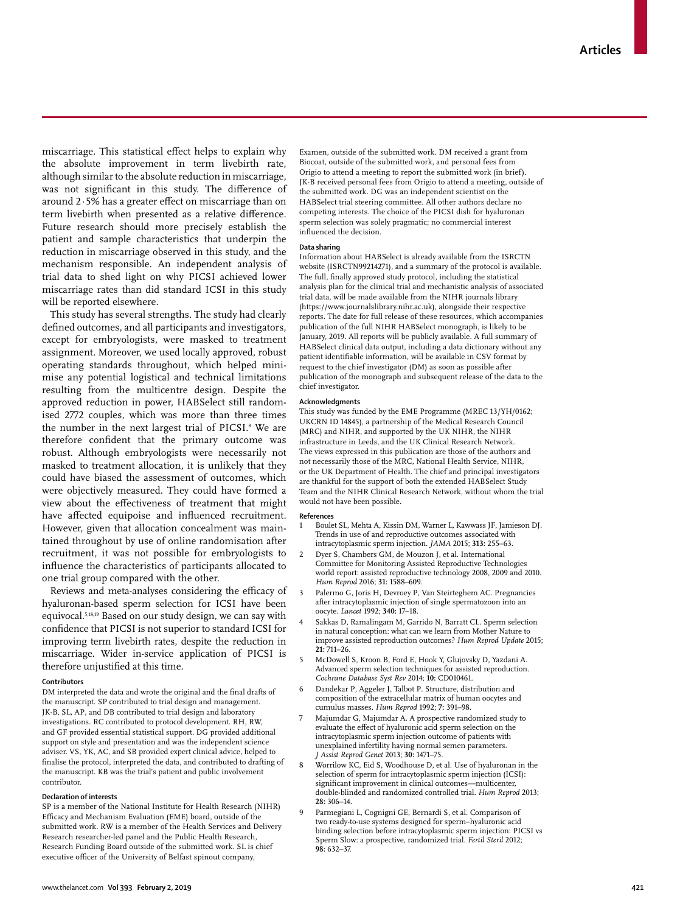miscarriage. This statistical effect helps to explain why the absolute improvement in term livebirth rate, although similar to the absolute reduction in miscarriage, was not significant in this study. The difference of around 2·5% has a greater effect on miscarriage than on term livebirth when presented as a relative difference. Future research should more precisely establish the patient and sample characteristics that underpin the reduction in miscarriage observed in this study, and the mechanism responsible. An independent analysis of trial data to shed light on why PICSI achieved lower miscarriage rates than did standard ICSI in this study will be reported elsewhere.

This study has several strengths. The study had clearly defined outcomes, and all participants and investigators, except for embryologists, were masked to treatment assignment. Moreover, we used locally approved, robust operating standards throughout, which helped minimise any potential logistical and technical limitations resulting from the multicentre design. Despite the approved reduction in power, HABSelect still randomised 2772 couples, which was more than three times the number in the next largest trial of PICSI.<sup>8</sup> We are therefore confident that the primary outcome was robust. Although embryologists were necessarily not masked to treatment allocation, it is unlikely that they could have biased the assessment of outcomes, which were objectively measured. They could have formed a view about the effectiveness of treatment that might have affected equipoise and influenced recruitment. However, given that allocation concealment was maintained throughout by use of online randomisation after recruitment, it was not possible for embryologists to influence the characteristics of participants allocated to one trial group compared with the other.

Reviews and meta-analyses considering the efficacy of hyaluronan-based sperm selection for ICSI have been equivocal.5,18,19 Based on our study design, we can say with confidence that PICSI is not superior to standard ICSI for improving term livebirth rates, despite the reduction in miscarriage. Wider in-service application of PICSI is therefore unjustified at this time.

#### **Contributors**

DM interpreted the data and wrote the original and the final drafts of the manuscript. SP contributed to trial design and management. JK-B, SL, AP, and DB contributed to trial design and laboratory investigations. RC contributed to protocol development. RH, RW, and GF provided essential statistical support. DG provided additional support on style and presentation and was the independent science adviser. VS, YK, AC, and SB provided expert clinical advice, helped to finalise the protocol, interpreted the data, and contributed to drafting of the manuscript. KB was the trial's patient and public involvement contributor.

#### **Declaration of interests**

SP is a member of the National Institute for Health Research (NIHR) Efficacy and Mechanism Evaluation (EME) board, outside of the submitted work. RW is a member of the Health Services and Delivery Research researcher-led panel and the Public Health Research, Research Funding Board outside of the submitted work. SL is chief executive officer of the University of Belfast spinout company,

Examen, outside of the submitted work. DM received a grant from Biocoat, outside of the submitted work, and personal fees from Origio to attend a meeting to report the submitted work (in brief). JK-B received personal fees from Origio to attend a meeting, outside of the submitted work. DG was an independent scientist on the HABSelect trial steering committee. All other authors declare no competing interests. The choice of the PICSI dish for hyaluronan sperm selection was solely pragmatic; no commercial interest influenced the decision.

#### **Data sharing**

Information about HABSelect is already available from the ISRCTN website (ISRCTN99214271), and a summary of the protocol is available. The full, finally approved study protocol, including the statistical analysis plan for the clinical trial and mechanistic analysis of associated trial data, will be made available from the NIHR journals library (https://www.journalslibrary.nihr.ac.uk), alongside their respective reports. The date for full release of these resources, which accompanies publication of the full NIHR HABSelect monograph, is likely to be January, 2019. All reports will be publicly available. A full summary of HABSelect clinical data output, including a data dictionary without any patient identifiable information, will be available in CSV format by request to the chief investigator (DM) as soon as possible after publication of the monograph and subsequent release of the data to the chief investigator.

#### **Acknowledgments**

This study was funded by the EME Programme (MREC 13/YH/0162; UKCRN ID 14845), a partnership of the Medical Research Council (MRC) and NIHR, and supported by the UK NIHR, the NIHR infrastructure in Leeds, and the UK Clinical Research Network. The views expressed in this publication are those of the authors and not necessarily those of the MRC, National Health Service, NIHR, or the UK Department of Health*.* The chief and principal investigators are thankful for the support of both the extended HABSelect Study Team and the NIHR Clinical Research Network, without whom the trial would not have been possible.

#### **References**

- 1 Boulet SL, Mehta A, Kissin DM, Warner L, Kawwass JF, Jamieson DJ. Trends in use of and reproductive outcomes associated with intracytoplasmic sperm injection. *JAMA* 2015; **313:** 255–63.
- 2 Dyer S, Chambers GM, de Mouzon J, et al. International Committee for Monitoring Assisted Reproductive Technologies world report: assisted reproductive technology 2008, 2009 and 2010. *Hum Reprod* 2016; **31:** 1588–609.
- 3 Palermo G, Joris H, Devroey P, Van Steirteghem AC. Pregnancies after intracytoplasmic injection of single spermatozoon into an oocyte. *Lancet* 1992; **340:** 17–18.
- Sakkas D, Ramalingam M, Garrido N, Barratt CL. Sperm selection in natural conception: what can we learn from Mother Nature to improve assisted reproduction outcomes? *Hum Reprod Update* 2015; **21:** 711–26.
- 5 McDowell S, Kroon B, Ford E, Hook Y, Glujovsky D, Yazdani A. Advanced sperm selection techniques for assisted reproduction. *Cochrane Database Syst Rev* 2014; **10:** CD010461.
- 6 Dandekar P, Aggeler J, Talbot P. Structure, distribution and composition of the extracellular matrix of human oocytes and cumulus masses. *Hum Reprod* 1992; **7:** 391–98.
- 7 Majumdar G, Majumdar A. A prospective randomized study to evaluate the effect of hyaluronic acid sperm selection on the intracytoplasmic sperm injection outcome of patients with unexplained infertility having normal semen parameters. *J Assist Reprod Genet* 2013; **30:** 1471–75.
- 8 Worrilow KC, Eid S, Woodhouse D, et al. Use of hyaluronan in the selection of sperm for intracytoplasmic sperm injection (ICSI): significant improvement in clinical outcomes—multicenter, double-blinded and randomized controlled trial. *Hum Reprod* 2013; **28:** 306–14.
- 9 Parmegiani L, Cognigni GE, Bernardi S, et al. Comparison of two ready-to-use systems designed for sperm–hyaluronic acid binding selection before intracytoplasmic sperm injection: PICSI vs Sperm Slow: a prospective, randomized trial. *Fertil Steril* 2012; **98:** 632–37.